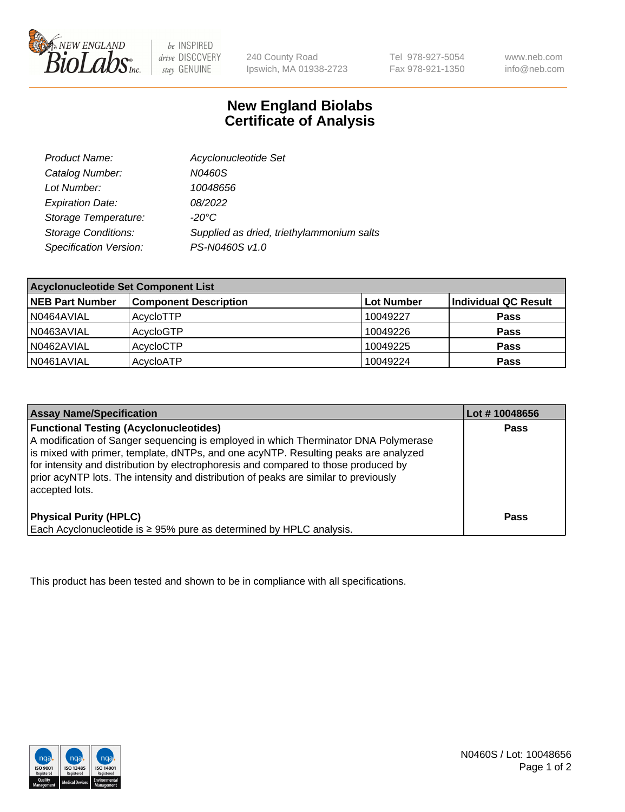

be INSPIRED drive DISCOVERY stay GENUINE

240 County Road Ipswich, MA 01938-2723 Tel 978-927-5054 Fax 978-921-1350 www.neb.com info@neb.com

## **New England Biolabs Certificate of Analysis**

| Product Name:              | Acyclonucleotide Set                      |
|----------------------------|-------------------------------------------|
| Catalog Number:            | N0460S                                    |
| Lot Number:                | 10048656                                  |
| <b>Expiration Date:</b>    | 08/2022                                   |
| Storage Temperature:       | $-20^{\circ}$ C                           |
| <b>Storage Conditions:</b> | Supplied as dried, triethylammonium salts |
| Specification Version:     | PS-N0460S v1.0                            |

| <b>Acyclonucleotide Set Component List</b> |                              |            |                      |  |
|--------------------------------------------|------------------------------|------------|----------------------|--|
| <b>NEB Part Number</b>                     | <b>Component Description</b> | Lot Number | Individual QC Result |  |
| N0464AVIAL                                 | AcycloTTP                    | 10049227   | <b>Pass</b>          |  |
| N0463AVIAL                                 | AcycloGTP                    | 10049226   | <b>Pass</b>          |  |
| N0462AVIAL                                 | AcycloCTP                    | 10049225   | <b>Pass</b>          |  |
| N0461AVIAL                                 | AcycloATP                    | 10049224   | <b>Pass</b>          |  |

| <b>Assay Name/Specification</b>                                                                                                                                                                                                                                                                                                                                                                                              | Lot #10048656 |
|------------------------------------------------------------------------------------------------------------------------------------------------------------------------------------------------------------------------------------------------------------------------------------------------------------------------------------------------------------------------------------------------------------------------------|---------------|
| <b>Functional Testing (Acyclonucleotides)</b><br>A modification of Sanger sequencing is employed in which Therminator DNA Polymerase<br>is mixed with primer, template, dNTPs, and one acyNTP. Resulting peaks are analyzed<br>for intensity and distribution by electrophoresis and compared to those produced by<br>prior acyNTP lots. The intensity and distribution of peaks are similar to previously<br>accepted lots. | <b>Pass</b>   |
| <b>Physical Purity (HPLC)</b><br>Each Acyclonucleotide is ≥ 95% pure as determined by HPLC analysis.                                                                                                                                                                                                                                                                                                                         | Pass          |

This product has been tested and shown to be in compliance with all specifications.